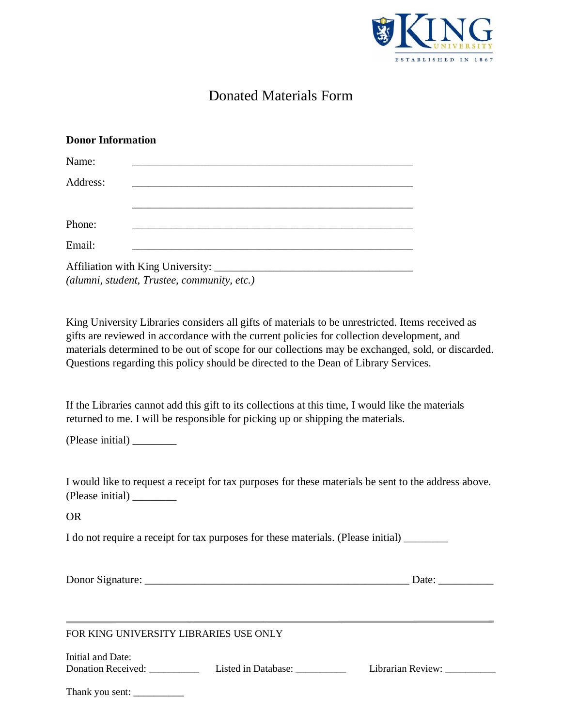

## Donated Materials Form

## **Donor Information**

| Name:    |                                             |
|----------|---------------------------------------------|
| Address: |                                             |
|          |                                             |
| Phone:   |                                             |
| Email:   |                                             |
|          | (alumni, student, Trustee, community, etc.) |

King University Libraries considers all gifts of materials to be unrestricted. Items received as gifts are reviewed in accordance with the current policies for collection development, and materials determined to be out of scope for our collections may be exchanged, sold, or discarded. Questions regarding this policy should be directed to the Dean of Library Services.

If the Libraries cannot add this gift to its collections at this time, I would like the materials returned to me. I will be responsible for picking up or shipping the materials.

(Please initial) \_\_\_\_\_\_\_\_

I would like to request a receipt for tax purposes for these materials be sent to the address above. (Please initial) \_\_\_\_\_\_\_\_

OR

I do not require a receipt for tax purposes for these materials. (Please initial) \_\_\_\_\_\_\_\_

| Donor Signature: |
|------------------|
|                  |

Donor Signature: \_\_\_\_\_\_\_\_\_\_\_\_\_\_\_\_\_\_\_\_\_\_\_\_\_\_\_\_\_\_\_\_\_\_\_\_\_\_\_\_\_\_\_\_\_\_\_\_ Date: \_\_\_\_\_\_\_\_\_\_

FOR KING UNIVERSITY LIBRARIES USE ONLY

| Initial and Date:  |                     |                   |
|--------------------|---------------------|-------------------|
| Donation Received: | Listed in Database: | Librarian Review: |

| Thank you sent: |  |
|-----------------|--|
|-----------------|--|